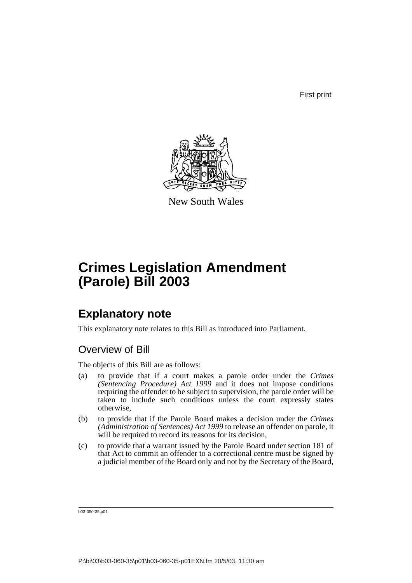First print



New South Wales

# **Crimes Legislation Amendment (Parole) Bill 2003**

# **Explanatory note**

This explanatory note relates to this Bill as introduced into Parliament.

## Overview of Bill

The objects of this Bill are as follows:

- (a) to provide that if a court makes a parole order under the *Crimes (Sentencing Procedure) Act 1999* and it does not impose conditions requiring the offender to be subject to supervision, the parole order will be taken to include such conditions unless the court expressly states otherwise,
- (b) to provide that if the Parole Board makes a decision under the *Crimes (Administration of Sentences) Act 1999* to release an offender on parole, it will be required to record its reasons for its decision,
- (c) to provide that a warrant issued by the Parole Board under section 181 of that Act to commit an offender to a correctional centre must be signed by a judicial member of the Board only and not by the Secretary of the Board,

b03-060-35.p01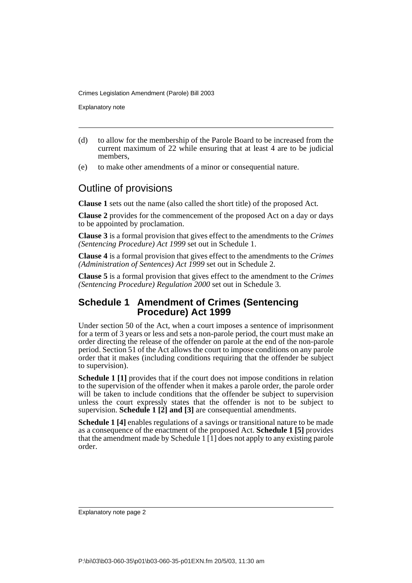Explanatory note

- (d) to allow for the membership of the Parole Board to be increased from the current maximum of 22 while ensuring that at least 4 are to be judicial members,
- (e) to make other amendments of a minor or consequential nature.

## Outline of provisions

**Clause 1** sets out the name (also called the short title) of the proposed Act.

**Clause 2** provides for the commencement of the proposed Act on a day or days to be appointed by proclamation.

**Clause 3** is a formal provision that gives effect to the amendments to the *Crimes (Sentencing Procedure) Act 1999* set out in Schedule 1.

**Clause 4** is a formal provision that gives effect to the amendments to the *Crimes (Administration of Sentences) Act 1999* set out in Schedule 2.

**Clause 5** is a formal provision that gives effect to the amendment to the *Crimes (Sentencing Procedure) Regulation 2000* set out in Schedule 3.

### **Schedule 1 Amendment of Crimes (Sentencing Procedure) Act 1999**

Under section 50 of the Act, when a court imposes a sentence of imprisonment for a term of 3 years or less and sets a non-parole period, the court must make an order directing the release of the offender on parole at the end of the non-parole period. Section 51 of the Act allows the court to impose conditions on any parole order that it makes (including conditions requiring that the offender be subject to supervision).

**Schedule 1 [1]** provides that if the court does not impose conditions in relation to the supervision of the offender when it makes a parole order, the parole order will be taken to include conditions that the offender be subject to supervision unless the court expressly states that the offender is not to be subject to supervision. **Schedule 1 [2] and [3]** are consequential amendments.

**Schedule 1 [4]** enables regulations of a savings or transitional nature to be made as a consequence of the enactment of the proposed Act. **Schedule 1 [5]** provides that the amendment made by Schedule 1  $\left[1\right]$  does not apply to any existing parole order.

Explanatory note page 2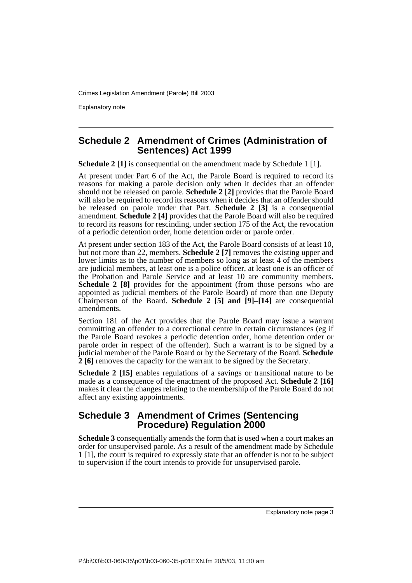Explanatory note

### **Schedule 2 Amendment of Crimes (Administration of Sentences) Act 1999**

**Schedule 2** [1] is consequential on the amendment made by Schedule 1 [1].

At present under Part 6 of the Act, the Parole Board is required to record its reasons for making a parole decision only when it decides that an offender should not be released on parole. **Schedule 2 [2]** provides that the Parole Board will also be required to record its reasons when it decides that an offender should be released on parole under that Part. **Schedule 2 [3]** is a consequential amendment. **Schedule 2 [4]** provides that the Parole Board will also be required to record its reasons for rescinding, under section 175 of the Act, the revocation of a periodic detention order, home detention order or parole order.

At present under section 183 of the Act, the Parole Board consists of at least 10, but not more than 22, members. **Schedule 2 [7]** removes the existing upper and lower limits as to the number of members so long as at least 4 of the members are judicial members, at least one is a police officer, at least one is an officer of the Probation and Parole Service and at least 10 are community members. **Schedule 2 [8]** provides for the appointment (from those persons who are appointed as judicial members of the Parole Board) of more than one Deputy Chairperson of the Board. **Schedule 2 [5] and [9]–[14]** are consequential amendments.

Section 181 of the Act provides that the Parole Board may issue a warrant committing an offender to a correctional centre in certain circumstances (eg if the Parole Board revokes a periodic detention order, home detention order or parole order in respect of the offender). Such a warrant is to be signed by a judicial member of the Parole Board or by the Secretary of the Board. **Schedule 2 [6]** removes the capacity for the warrant to be signed by the Secretary.

**Schedule 2 [15]** enables regulations of a savings or transitional nature to be made as a consequence of the enactment of the proposed Act. **Schedule 2 [16]** makes it clear the changes relating to the membership of the Parole Board do not affect any existing appointments.

### **Schedule 3 Amendment of Crimes (Sentencing Procedure) Regulation 2000**

**Schedule 3** consequentially amends the form that is used when a court makes an order for unsupervised parole. As a result of the amendment made by Schedule 1 [1], the court is required to expressly state that an offender is not to be subject to supervision if the court intends to provide for unsupervised parole.

Explanatory note page 3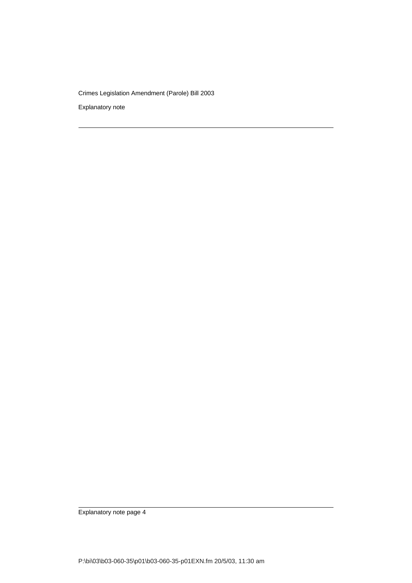Explanatory note

Explanatory note page 4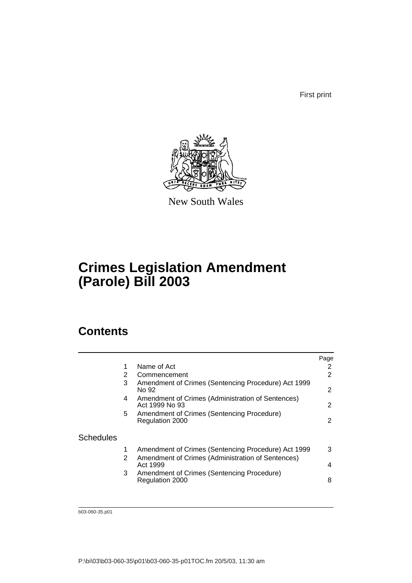First print



New South Wales

# **Crimes Legislation Amendment (Parole) Bill 2003**

## **Contents**

|                  |    |                                                                     | Page           |
|------------------|----|---------------------------------------------------------------------|----------------|
|                  | 1  | Name of Act                                                         | 2              |
|                  | 2  | Commencement                                                        | $\overline{2}$ |
|                  | 3  | Amendment of Crimes (Sentencing Procedure) Act 1999<br>No 92        | 2              |
|                  | 4  | Amendment of Crimes (Administration of Sentences)<br>Act 1999 No 93 | 2              |
|                  | 5. | Amendment of Crimes (Sentencing Procedure)<br>Regulation 2000       | 2              |
| <b>Schedules</b> |    |                                                                     |                |
|                  |    | Amendment of Crimes (Sentencing Procedure) Act 1999                 | 3              |
|                  | 2  | Amendment of Crimes (Administration of Sentences)                   |                |
|                  |    | Act 1999                                                            | 4              |
|                  | 3  | Amendment of Crimes (Sentencing Procedure)<br>Regulation 2000       | 8              |
|                  |    |                                                                     |                |

b03-060-35.p01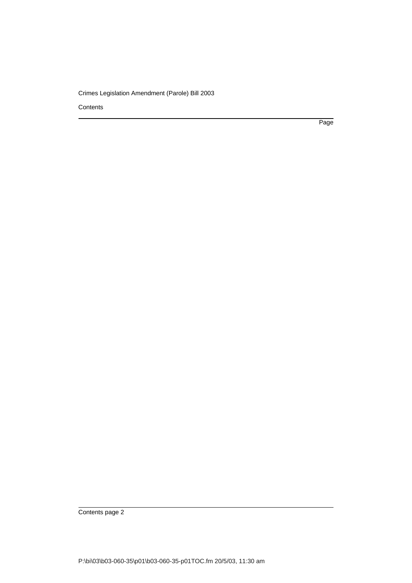**Contents** 

Page

Contents page 2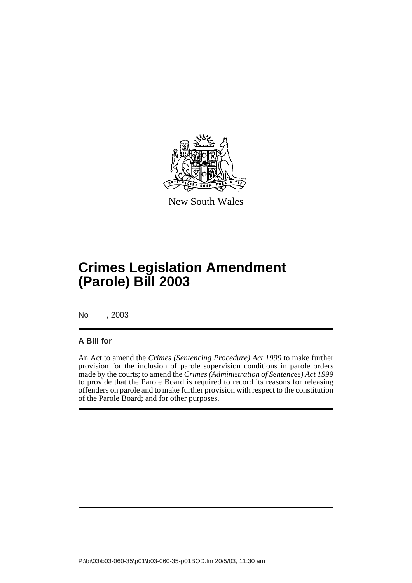

New South Wales

# **Crimes Legislation Amendment (Parole) Bill 2003**

No , 2003

#### **A Bill for**

An Act to amend the *Crimes (Sentencing Procedure) Act 1999* to make further provision for the inclusion of parole supervision conditions in parole orders made by the courts; to amend the *Crimes (Administration of Sentences) Act 1999* to provide that the Parole Board is required to record its reasons for releasing offenders on parole and to make further provision with respect to the constitution of the Parole Board; and for other purposes.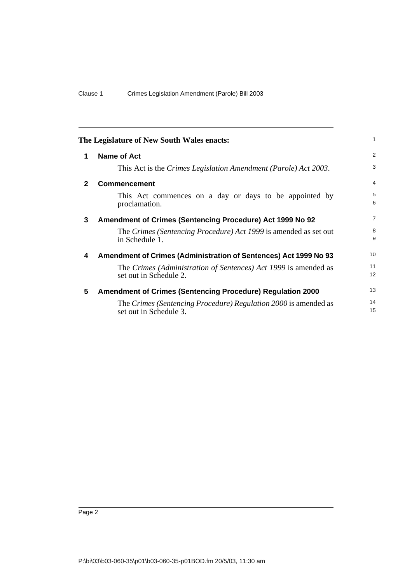<span id="page-7-4"></span><span id="page-7-3"></span><span id="page-7-2"></span><span id="page-7-1"></span><span id="page-7-0"></span>

| The Legislature of New South Wales enacts: |                                                                                           |                |
|--------------------------------------------|-------------------------------------------------------------------------------------------|----------------|
| 1                                          | Name of Act                                                                               | 2              |
|                                            | This Act is the Crimes Legislation Amendment (Parole) Act 2003.                           | 3              |
| 2                                          | <b>Commencement</b>                                                                       | $\overline{4}$ |
|                                            | This Act commences on a day or days to be appointed by<br>proclamation.                   | 5<br>6         |
| 3                                          | Amendment of Crimes (Sentencing Procedure) Act 1999 No 92                                 | $\overline{7}$ |
|                                            | The Crimes (Sentencing Procedure) Act 1999 is amended as set out<br>in Schedule 1.        | 8<br>9         |
| 4                                          | Amendment of Crimes (Administration of Sentences) Act 1999 No 93                          | 10             |
|                                            | The Crimes (Administration of Sentences) Act 1999 is amended as<br>set out in Schedule 2. | 11<br>12       |
| 5                                          | <b>Amendment of Crimes (Sentencing Procedure) Regulation 2000</b>                         | 13             |
|                                            | The Crimes (Sentencing Procedure) Regulation 2000 is amended as<br>set out in Schedule 3. | 14<br>15       |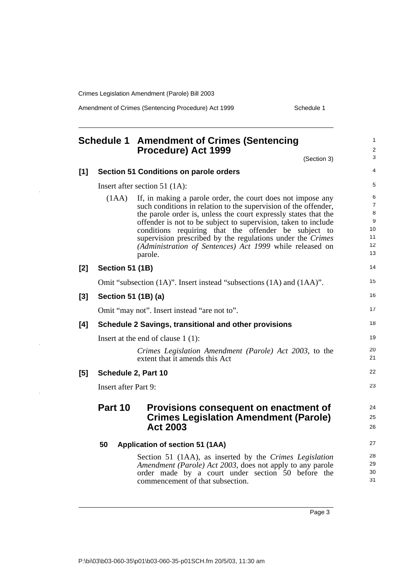Amendment of Crimes (Sentencing Procedure) Act 1999 Schedule 1

<span id="page-8-0"></span>

|       |                             | <b>Schedule 1 Amendment of Crimes (Sentencing</b><br>Procedure) Act 1999                                                          |                     |  |
|-------|-----------------------------|-----------------------------------------------------------------------------------------------------------------------------------|---------------------|--|
|       |                             | (Section 3)                                                                                                                       | 3                   |  |
| $[1]$ |                             | <b>Section 51 Conditions on parole orders</b>                                                                                     | 4                   |  |
|       |                             | Insert after section 51 $(1A)$ :                                                                                                  | 5                   |  |
|       | (1AA)                       | If, in making a parole order, the court does not impose any                                                                       | 6<br>$\overline{7}$ |  |
|       |                             | such conditions in relation to the supervision of the offender,                                                                   | 8                   |  |
|       |                             | the parole order is, unless the court expressly states that the<br>offender is not to be subject to supervision, taken to include | 9                   |  |
|       |                             | conditions requiring that the offender be subject to                                                                              | 10                  |  |
|       |                             | supervision prescribed by the regulations under the Crimes                                                                        | 11                  |  |
|       |                             | (Administration of Sentences) Act 1999 while released on                                                                          | 12                  |  |
|       |                             | parole.                                                                                                                           | 13                  |  |
| $[2]$ | <b>Section 51 (1B)</b>      |                                                                                                                                   | 14                  |  |
|       |                             | Omit "subsection (1A)". Insert instead "subsections (1A) and (1AA)".                                                              | 15                  |  |
| $[3]$ | Section 51 (1B) (a)         |                                                                                                                                   | 16                  |  |
|       |                             | Omit "may not". Insert instead "are not to".                                                                                      | 17                  |  |
| [4]   |                             | Schedule 2 Savings, transitional and other provisions                                                                             | 18                  |  |
|       |                             | Insert at the end of clause $1(1)$ :                                                                                              | 19                  |  |
|       |                             | Crimes Legislation Amendment (Parole) Act 2003, to the<br>extent that it amends this Act                                          | 20<br>21            |  |
| $[5]$ |                             | Schedule 2, Part 10                                                                                                               | 22                  |  |
|       | <b>Insert after Part 9:</b> |                                                                                                                                   | 23                  |  |
|       | Part 10                     | Provisions consequent on enactment of                                                                                             | 24                  |  |
|       |                             | <b>Crimes Legislation Amendment (Parole)</b>                                                                                      | 25                  |  |
|       |                             | <b>Act 2003</b>                                                                                                                   | 26                  |  |
|       | 50.                         | Application of section 51 (1AA)                                                                                                   | 27                  |  |
|       |                             | Section 51 (1AA), as inserted by the Crimes Legislation                                                                           | 28                  |  |
|       |                             | Amendment (Parole) Act 2003, does not apply to any parole                                                                         | 29                  |  |
|       |                             | order made by a court under section 50 before the                                                                                 | 30                  |  |
|       |                             | commencement of that subsection.                                                                                                  | 31                  |  |
|       |                             |                                                                                                                                   |                     |  |

Page 3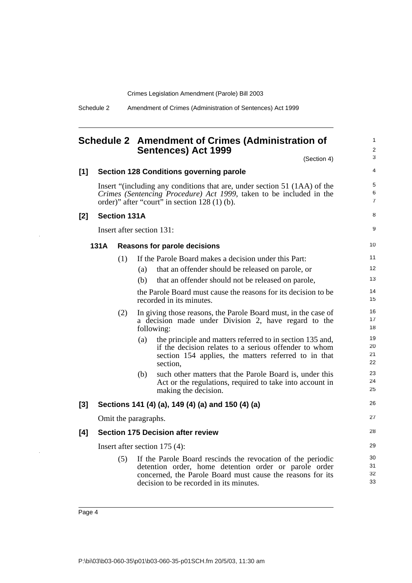<span id="page-9-0"></span>

| <b>Schedule 2 Amendment of Crimes (Administration of</b> |  |
|----------------------------------------------------------|--|
| <b>Sentences) Act 1999</b>                               |  |

(Section 4)

# **[1] Section 128 Conditions governing parole**

Insert "(including any conditions that are, under section 51 (1AA) of the *Crimes (Sentencing Procedure) Act 1999*, taken to be included in the order)" after "court" in section 128 (1) (b).

#### **[2] Section 131A**

Insert after section 131:

#### **131A Reasons for parole decisions**

- (1) If the Parole Board makes a decision under this Part:
	- (a) that an offender should be released on parole, or
	- (b) that an offender should not be released on parole,

the Parole Board must cause the reasons for its decision to be recorded in its minutes.

- (2) In giving those reasons, the Parole Board must, in the case of a decision made under Division 2, have regard to the following:
	- (a) the principle and matters referred to in section 135 and, if the decision relates to a serious offender to whom section 154 applies, the matters referred to in that section,
	- (b) such other matters that the Parole Board is, under this Act or the regulations, required to take into account in making the decision.

#### **[3] Sections 141 (4) (a), 149 (4) (a) and 150 (4) (a)**

26 27

28

> 5 6 7

8

9

Omit the paragraphs.

#### **[4] Section 175 Decision after review**

Insert after section 175 (4):

(5) If the Parole Board rescinds the revocation of the periodic detention order, home detention order or parole order concerned, the Parole Board must cause the reasons for its decision to be recorded in its minutes.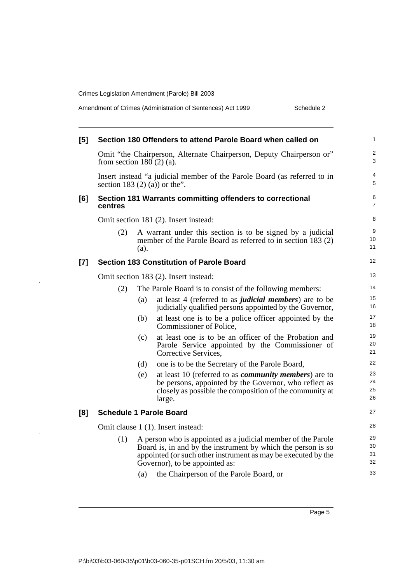Ŷ,

l,

 $\bar{z}$ 

|  | Amendment of Crimes (Administration of Sentences) Act 1999 |  | Schedule 2 |
|--|------------------------------------------------------------|--|------------|
|--|------------------------------------------------------------|--|------------|

| [5]   |                            |      | Section 180 Offenders to attend Parole Board when called on                                                                                                                                                                                                                | 1                          |
|-------|----------------------------|------|----------------------------------------------------------------------------------------------------------------------------------------------------------------------------------------------------------------------------------------------------------------------------|----------------------------|
|       | from section $180(2)(a)$ . |      | Omit "the Chairperson, Alternate Chairperson, Deputy Chairperson or"                                                                                                                                                                                                       | 2<br>3                     |
|       |                            |      | Insert instead "a judicial member of the Parole Board (as referred to in<br>section 183 $(2)$ $(a)$ ) or the".                                                                                                                                                             | 4<br>5                     |
| [6]   | centres                    |      | Section 181 Warrants committing offenders to correctional                                                                                                                                                                                                                  | 6<br>7                     |
|       |                            |      | Omit section 181 (2). Insert instead:                                                                                                                                                                                                                                      | 8                          |
|       | (2)                        | (a). | A warrant under this section is to be signed by a judicial<br>member of the Parole Board as referred to in section 183 (2)                                                                                                                                                 | 9<br>10<br>11              |
| $[7]$ |                            |      | <b>Section 183 Constitution of Parole Board</b>                                                                                                                                                                                                                            | 12                         |
|       |                            |      | Omit section 183 (2). Insert instead:                                                                                                                                                                                                                                      | 13                         |
|       | (2)                        |      | The Parole Board is to consist of the following members:                                                                                                                                                                                                                   | 14                         |
|       |                            | (a)  | at least 4 (referred to as <i>judicial members</i> ) are to be<br>judicially qualified persons appointed by the Governor,                                                                                                                                                  | 15<br>16                   |
|       |                            | (b)  | at least one is to be a police officer appointed by the<br>Commissioner of Police,                                                                                                                                                                                         | 17<br>18                   |
|       |                            | (c)  | at least one is to be an officer of the Probation and<br>Parole Service appointed by the Commissioner of<br>Corrective Services,                                                                                                                                           | 19<br>20<br>21             |
|       |                            | (d)  | one is to be the Secretary of the Parole Board,                                                                                                                                                                                                                            | 22                         |
|       |                            | (e)  | at least 10 (referred to as <i>community members</i> ) are to<br>be persons, appointed by the Governor, who reflect as<br>closely as possible the composition of the community at<br>large.                                                                                | 23<br>24<br>25<br>26       |
| [8]   |                            |      | <b>Schedule 1 Parole Board</b>                                                                                                                                                                                                                                             | 27                         |
|       |                            |      | Omit clause 1 (1). Insert instead:                                                                                                                                                                                                                                         | 28                         |
|       | (1)                        | (a)  | A person who is appointed as a judicial member of the Parole<br>Board is, in and by the instrument by which the person is so<br>appointed (or such other instrument as may be executed by the<br>Governor), to be appointed as:<br>the Chairperson of the Parole Board, or | 29<br>30<br>31<br>32<br>33 |
|       |                            |      |                                                                                                                                                                                                                                                                            |                            |

Page 5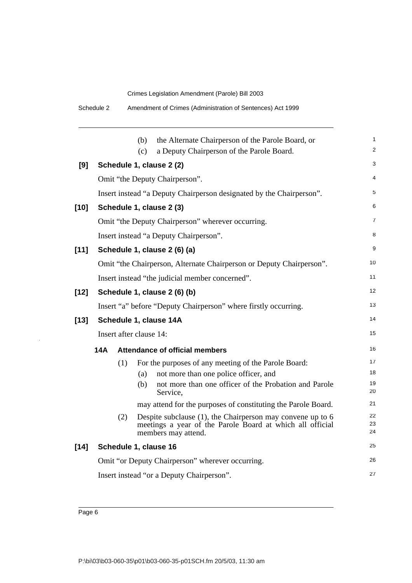|        |     |     | (b)                     | the Alternate Chairperson of the Parole Board, or                                                                                                 | $\mathbf{1}$   |
|--------|-----|-----|-------------------------|---------------------------------------------------------------------------------------------------------------------------------------------------|----------------|
|        |     |     | (c)                     | a Deputy Chairperson of the Parole Board.                                                                                                         | 2              |
| [9]    |     |     |                         | Schedule 1, clause 2 (2)                                                                                                                          | 3              |
|        |     |     |                         | Omit "the Deputy Chairperson".                                                                                                                    | 4              |
|        |     |     |                         | Insert instead "a Deputy Chairperson designated by the Chairperson".                                                                              | 5              |
| $[10]$ |     |     |                         | Schedule 1, clause 2 (3)                                                                                                                          | 6              |
|        |     |     |                         | Omit "the Deputy Chairperson" wherever occurring.                                                                                                 | $\overline{7}$ |
|        |     |     |                         | Insert instead "a Deputy Chairperson".                                                                                                            | 8              |
| $[11]$ |     |     |                         | Schedule 1, clause 2 (6) (a)                                                                                                                      | 9              |
|        |     |     |                         | Omit "the Chairperson, Alternate Chairperson or Deputy Chairperson".                                                                              | 10             |
|        |     |     |                         | Insert instead "the judicial member concerned".                                                                                                   | 11             |
| $[12]$ |     |     |                         | Schedule 1, clause 2 (6) (b)                                                                                                                      | 12             |
|        |     |     |                         | Insert "a" before "Deputy Chairperson" where firstly occurring.                                                                                   | 13             |
| $[13]$ |     |     |                         | Schedule 1, clause 14A                                                                                                                            | 14             |
|        |     |     | Insert after clause 14: |                                                                                                                                                   | 15             |
|        | 14A |     |                         | <b>Attendance of official members</b>                                                                                                             | 16             |
|        |     | (1) |                         | For the purposes of any meeting of the Parole Board:                                                                                              | 17             |
|        |     |     | (a)                     | not more than one police officer, and                                                                                                             | 18             |
|        |     |     | (b)                     | not more than one officer of the Probation and Parole<br>Service,                                                                                 | 19<br>20       |
|        |     |     |                         | may attend for the purposes of constituting the Parole Board.                                                                                     | 21             |
|        |     | (2) |                         | Despite subclause $(1)$ , the Chairperson may convene up to 6<br>meetings a year of the Parole Board at which all official<br>members may attend. | 22<br>23<br>24 |
| $[14]$ |     |     |                         | Schedule 1, clause 16                                                                                                                             | 25             |
|        |     |     |                         | Omit "or Deputy Chairperson" wherever occurring.                                                                                                  | 26             |
|        |     |     |                         | Insert instead "or a Deputy Chairperson".                                                                                                         | 27             |
|        |     |     |                         |                                                                                                                                                   |                |

Page 6

l,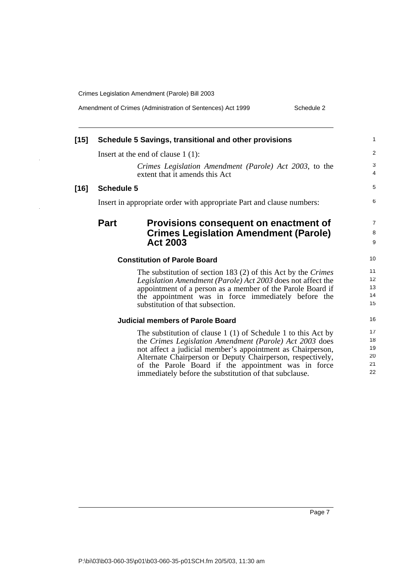Amendment of Crimes (Administration of Sentences) Act 1999 Schedule 2

| $[15]$ |                   | Schedule 5 Savings, transitional and other provisions                                    | $\mathbf{1}$        |
|--------|-------------------|------------------------------------------------------------------------------------------|---------------------|
|        |                   | Insert at the end of clause $1(1)$ :                                                     | $\overline{2}$      |
|        |                   | Crimes Legislation Amendment (Parole) Act 2003, to the<br>extent that it amends this Act | 3<br>$\overline{4}$ |
| $[16]$ | <b>Schedule 5</b> |                                                                                          | 5                   |
|        |                   | Insert in appropriate order with appropriate Part and clause numbers:                    | 6                   |
|        | <b>Part</b>       | Provisions consequent on enactment of                                                    | $\overline{7}$      |
|        |                   | <b>Crimes Legislation Amendment (Parole)</b>                                             | 8                   |
|        |                   | <b>Act 2003</b>                                                                          | 9                   |
|        |                   | <b>Constitution of Parole Board</b>                                                      | 10                  |
|        |                   | The substitution of section 183 (2) of this Act by the Crimes                            | 11                  |
|        |                   | Legislation Amendment (Parole) Act 2003 does not affect the                              | 12                  |
|        |                   | appointment of a person as a member of the Parole Board if                               | 13<br>14            |
|        |                   | the appointment was in force immediately before the<br>substitution of that subsection.  | 15                  |
|        |                   | <b>Judicial members of Parole Board</b>                                                  | 16                  |
|        |                   | The substitution of clause $1(1)$ of Schedule 1 to this Act by                           | 17                  |
|        |                   | the Crimes Legislation Amendment (Parole) Act 2003 does                                  | 18                  |
|        |                   | not affect a judicial member's appointment as Chairperson,                               | 19                  |
|        |                   | Alternate Chairperson or Deputy Chairperson, respectively,                               | 20                  |
|        |                   | of the Parole Board if the appointment was in force                                      | 21<br>22            |
|        |                   | immediately before the substitution of that subclause.                                   |                     |